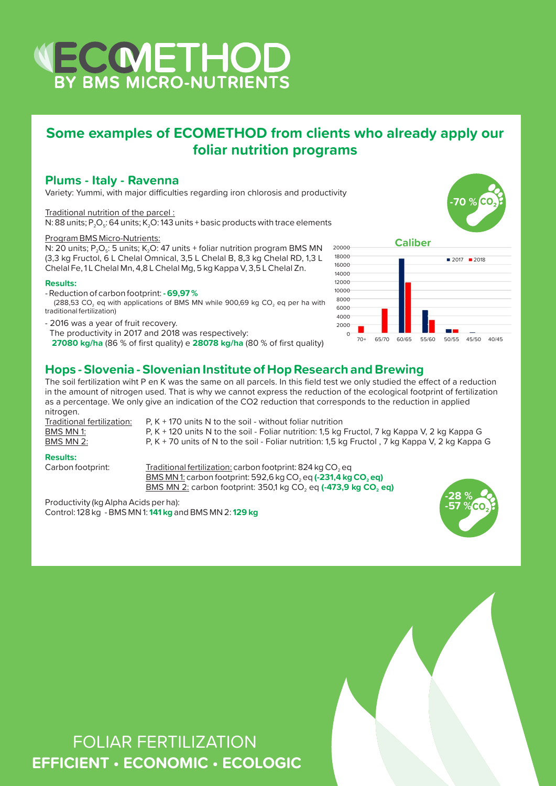## WECCMETHOD

## **Some examples of ECOMETHOD from clients who already apply our foliar nutrition programs**

## **Plums - Italy - Ravenna**

Variety: Yummi, with major difficulties regarding iron chlorosis and productivity

## Traditional nutrition of the parcel :

N: 88 units; P<sub>2</sub>O<sub>5</sub>: 64 units; K<sub>2</sub>O: 143 units + basic products with trace elements

## Program BMS Micro-Nutrients:

N: 20 units;  $P_2O_5$ : 5 units; K<sub>2</sub>O: 47 units + foliar nutrition program BMS MN (3,3 kg Fructol, 6 L Chelal Omnical, 3,5 L Chelal B, 8,3 kg Chelal RD, 1,3 L Chelal Fe, 1 L Chelal Mn, 4,8 L Chelal Mg, 5 kg Kappa V, 3,5 L Chelal Zn.

## **Results:**

- Reduction of carbon footprint: **- 69,97 %**

(288,53 CO<sub>2</sub> eq with applications of BMS MN while 900,69 kg CO<sub>2</sub> eq per ha with traditional fertilization)

- 2016 was a year of fruit recovery.

The productivity in 2017 and 2018 was respectively:

**27080 kg/ha** (86 % of first quality) e **28078 kg/ha** (80 % of first quality)





## **Hops - Slovenia - Slovenian Institute of Hop Research and Brewing**

The soil fertilization wiht P en K was the same on all parcels. In this field test we only studied the effect of a reduction in the amount of nitrogen used. That is why we cannot express the reduction of the ecological footprint of fertilization as a percentage. We only give an indication of the CO2 reduction that corresponds to the reduction in applied nitrogen.

Traditional fertilization:  $P, K + 170$  units N to the soil - without foliar nutrition BMS MN 1: P, K + 120 units N to the soil - Foliar nutrition: 1,5 kg Fructol, 7 kg Kappa V, 2 kg Kappa G BMS MN 2: P, K + 70 units of N to the soil - Foliar nutrition: 1,5 kg Fructol , 7 kg Kappa V, 2 kg Kappa G

**Results:**

Traditional fertilization: carbon footprint: 824 kg CO<sub>2</sub> eq <u>BMS MN 1:</u> carbon footprint: 592,6 kg CO<sub>2</sub> eq **(-231,4 kg CO<sub>2</sub> eq) BMS MN 2:** carbon footprint: 350,1 kg CO<sub>2</sub> eq (-473,9 kg CO<sub>2</sub> eq)

Productivity (kg Alpha Acids per ha): Control: 128 kg - BMS MN 1: **141 kg** and BMS MN 2: **129 kg**



# FOLIAR FERTILIZATION **EFFICIENT • ECONOMIC • ECOLOGIC**